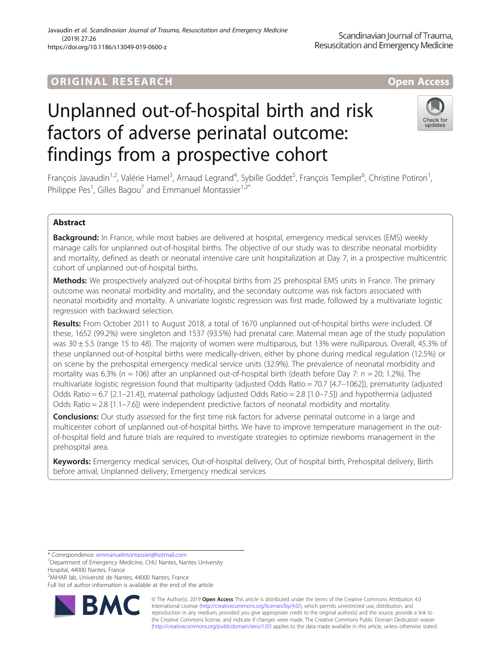# ORIGINA L R E S EA RCH Open Access

# Unplanned out-of-hospital birth and risk factors of adverse perinatal outcome: findings from a prospective cohort

François Javaudin<sup>1,2</sup>, Valérie Hamel<sup>3</sup>, Arnaud Legrand<sup>4</sup>, Sybille Goddet<sup>5</sup>, François Templier<sup>6</sup>, Christine Potiron<sup>1</sup> , Philippe Pes<sup>1</sup>, Gilles Bagou<sup>7</sup> and Emmanuel Montassier<sup>1,2\*</sup>

# Abstract

Background: In France, while most babies are delivered at hospital, emergency medical services (EMS) weekly manage calls for unplanned out-of-hospital births. The objective of our study was to describe neonatal morbidity and mortality, defined as death or neonatal intensive care unit hospitalization at Day 7, in a prospective multicentric cohort of unplanned out-of-hospital births.

Methods: We prospectively analyzed out-of-hospital births from 25 prehospital EMS units in France. The primary outcome was neonatal morbidity and mortality, and the secondary outcome was risk factors associated with neonatal morbidity and mortality. A univariate logistic regression was first made, followed by a multivariate logistic regression with backward selection.

Results: From October 2011 to August 2018, a total of 1670 unplanned out-of-hospital births were included. Of these, 1652 (99.2%) were singleton and 1537 (93.5%) had prenatal care. Maternal mean age of the study population was 30 ± 5.5 (range 15 to 48). The majority of women were multiparous, but 13% were nulliparous. Overall, 45.3% of these unplanned out-of-hospital births were medically-driven, either by phone during medical regulation (12.5%) or on scene by the prehospital emergency medical service units (32.9%). The prevalence of neonatal morbidity and mortality was 6.3% ( $n = 106$ ) after an unplanned out-of-hospital birth (death before Day 7:  $n = 20$ ; 1.2%). The multivariate logistic regression found that multiparity (adjusted Odds Ratio = 70.7 [4.7–1062]), prematurity (adjusted Odds Ratio = 6.7 [2.1–21.4]), maternal pathology (adjusted Odds Ratio = 2.8 [1.0–7.5]) and hypothermia (adjusted Odds Ratio = 2.8 [1.1–7.6]) were independent predictive factors of neonatal morbidity and mortality.

**Conclusions:** Our study assessed for the first time risk factors for adverse perinatal outcome in a large and multicenter cohort of unplanned out-of-hospital births. We have to improve temperature management in the outof-hospital field and future trials are required to investigate strategies to optimize newborns management in the prehospital area.

Keywords: Emergency medical services, Out-of-hospital delivery, Out of hospital birth, Prehospital delivery, Birth before arrival, Unplanned delivery, Emergency medical services

\* Correspondence: [emmanuelmontassier@hotmail.com](mailto:emmanuelmontassier@hotmail.com) <sup>1</sup>

<sup>2</sup>MiHAR lab, Université de Nantes, 44000 Nantes, France

Full list of author information is available at the end of the article

© The Author(s). 2019 **Open Access** This article is distributed under the terms of the Creative Commons Attribution 4.0 International License [\(http://creativecommons.org/licenses/by/4.0/](http://creativecommons.org/licenses/by/4.0/)), which permits unrestricted use, distribution, and reproduction in any medium, provided you give appropriate credit to the original author(s) and the source, provide a link to the Creative Commons license, and indicate if changes were made. The Creative Commons Public Domain Dedication waiver [\(http://creativecommons.org/publicdomain/zero/1.0/](http://creativecommons.org/publicdomain/zero/1.0/)) applies to the data made available in this article, unless otherwise stated.





<sup>&</sup>lt;sup>1</sup>Department of Emergency Medicine, CHU Nantes, Nantes University Hospital, 44000 Nantes, France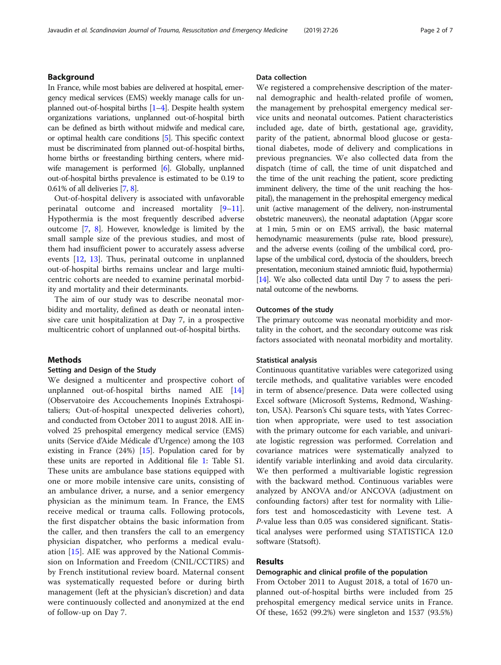# Background

In France, while most babies are delivered at hospital, emergency medical services (EMS) weekly manage calls for unplanned out-of-hospital births [[1](#page-5-0)–[4\]](#page-5-0). Despite health system organizations variations, unplanned out-of-hospital birth can be defined as birth without midwife and medical care, or optimal health care conditions [[5](#page-5-0)]. This specific context must be discriminated from planned out-of-hospital births, home births or freestanding birthing centers, where mid-wife management is performed [\[6\]](#page-5-0). Globally, unplanned out-of-hospital births prevalence is estimated to be 0.19 to 0.61% of all deliveries [[7](#page-5-0), [8\]](#page-5-0).

Out-of-hospital delivery is associated with unfavorable perinatal outcome and increased mortality [[9](#page-5-0)–[11](#page-5-0)]. Hypothermia is the most frequently described adverse outcome [\[7](#page-5-0), [8](#page-5-0)]. However, knowledge is limited by the small sample size of the previous studies, and most of them had insufficient power to accurately assess adverse events [\[12](#page-5-0), [13\]](#page-5-0). Thus, perinatal outcome in unplanned out-of-hospital births remains unclear and large multicentric cohorts are needed to examine perinatal morbidity and mortality and their determinants.

The aim of our study was to describe neonatal morbidity and mortality, defined as death or neonatal intensive care unit hospitalization at Day 7, in a prospective multicentric cohort of unplanned out-of-hospital births.

# **Methods**

# Setting and Design of the Study

We designed a multicenter and prospective cohort of unplanned out-of-hospital births named AIE [[14](#page-5-0)] (Observatoire des Accouchements Inopinés Extrahospitaliers; Out-of-hospital unexpected deliveries cohort), and conducted from October 2011 to august 2018. AIE involved 25 prehospital emergency medical service (EMS) units (Service d'Aide Médicale d'Urgence) among the 103 existing in France (24%) [[15](#page-5-0)]. Population cared for by these units are reported in Additional file [1](#page-5-0): Table S1. These units are ambulance base stations equipped with one or more mobile intensive care units, consisting of an ambulance driver, a nurse, and a senior emergency physician as the minimum team. In France, the EMS receive medical or trauma calls. Following protocols, the first dispatcher obtains the basic information from the caller, and then transfers the call to an emergency physician dispatcher, who performs a medical evaluation [\[15](#page-5-0)]. AIE was approved by the National Commission on Information and Freedom (CNIL/CCTIRS) and by French institutional review board. Maternal consent was systematically requested before or during birth management (left at the physician's discretion) and data were continuously collected and anonymized at the end of follow-up on Day 7.

# Data collection

We registered a comprehensive description of the maternal demographic and health-related profile of women, the management by prehospital emergency medical service units and neonatal outcomes. Patient characteristics included age, date of birth, gestational age, gravidity, parity of the patient, abnormal blood glucose or gestational diabetes, mode of delivery and complications in previous pregnancies. We also collected data from the dispatch (time of call, the time of unit dispatched and the time of the unit reaching the patient, score predicting imminent delivery, the time of the unit reaching the hospital), the management in the prehospital emergency medical unit (active management of the delivery, non-instrumental obstetric maneuvers), the neonatal adaptation (Apgar score at 1 min, 5 min or on EMS arrival), the basic maternal hemodynamic measurements (pulse rate, blood pressure), and the adverse events (coiling of the umbilical cord, prolapse of the umbilical cord, dystocia of the shoulders, breech presentation, meconium stained amniotic fluid, hypothermia) [[14\]](#page-5-0). We also collected data until Day 7 to assess the perinatal outcome of the newborns.

# Outcomes of the study

The primary outcome was neonatal morbidity and mortality in the cohort, and the secondary outcome was risk factors associated with neonatal morbidity and mortality.

#### Statistical analysis

Continuous quantitative variables were categorized using tercile methods, and qualitative variables were encoded in term of absence/presence. Data were collected using Excel software (Microsoft Systems, Redmond, Washington, USA). Pearson's Chi square tests, with Yates Correction when appropriate, were used to test association with the primary outcome for each variable, and univariate logistic regression was performed. Correlation and covariance matrices were systematically analyzed to identify variable interlinking and avoid data circularity. We then performed a multivariable logistic regression with the backward method. Continuous variables were analyzed by ANOVA and/or ANCOVA (adjustment on confounding factors) after test for normality with Liliefors test and homoscedasticity with Levene test. A P-value less than 0.05 was considered significant. Statistical analyses were performed using STATISTICA 12.0 software (Statsoft).

# Results

# Demographic and clinical profile of the population

From October 2011 to August 2018, a total of 1670 unplanned out-of-hospital births were included from 25 prehospital emergency medical service units in France. Of these, 1652 (99.2%) were singleton and 1537 (93.5%)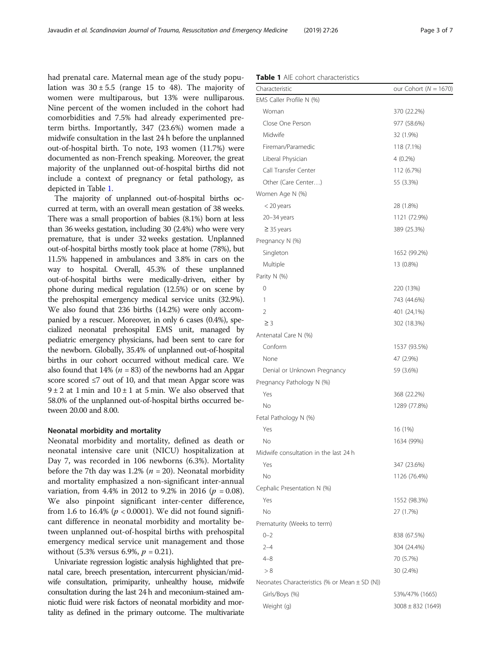had prenatal care. Maternal mean age of the study population was  $30 \pm 5.5$  (range 15 to 48). The majority of women were multiparous, but 13% were nulliparous. Nine percent of the women included in the cohort had comorbidities and 7.5% had already experimented preterm births. Importantly, 347 (23.6%) women made a midwife consultation in the last 24 h before the unplanned out-of-hospital birth. To note, 193 women (11.7%) were documented as non-French speaking. Moreover, the great majority of the unplanned out-of-hospital births did not include a context of pregnancy or fetal pathology, as depicted in Table 1.

The majority of unplanned out-of-hospital births occurred at term, with an overall mean gestation of 38 weeks. There was a small proportion of babies (8.1%) born at less than 36 weeks gestation, including 30 (2.4%) who were very premature, that is under 32 weeks gestation. Unplanned out-of-hospital births mostly took place at home (78%), but 11.5% happened in ambulances and 3.8% in cars on the way to hospital. Overall, 45.3% of these unplanned out-of-hospital births were medically-driven, either by phone during medical regulation (12.5%) or on scene by the prehospital emergency medical service units (32.9%). We also found that 236 births (14.2%) were only accompanied by a rescuer. Moreover, in only 6 cases (0.4%), specialized neonatal prehospital EMS unit, managed by pediatric emergency physicians, had been sent to care for the newborn. Globally, 35.4% of unplanned out-of-hospital births in our cohort occurred without medical care. We also found that 14% ( $n = 83$ ) of the newborns had an Apgar score scored ≤7 out of 10, and that mean Apgar score was  $9 \pm 2$  at 1 min and  $10 \pm 1$  at 5 min. We also observed that 58.0% of the unplanned out-of-hospital births occurred between 20.00 and 8.00.

# Neonatal morbidity and mortality

Neonatal morbidity and mortality, defined as death or neonatal intensive care unit (NICU) hospitalization at Day 7, was recorded in 106 newborns (6.3%). Mortality before the 7th day was 1.2% ( $n = 20$ ). Neonatal morbidity and mortality emphasized a non-significant inter-annual variation, from 4.4% in 2012 to 9.2% in 2016 ( $p = 0.08$ ). We also pinpoint significant inter-center difference, from 1.6 to 16.4% ( $p < 0.0001$ ). We did not found significant difference in neonatal morbidity and mortality between unplanned out-of-hospital births with prehospital emergency medical service unit management and those without (5.3% versus 6.9%,  $p = 0.21$ ).

Univariate regression logistic analysis highlighted that prenatal care, breech presentation, intercurrent physician/midwife consultation, primiparity, unhealthy house, midwife consultation during the last 24 h and meconium-stained amniotic fluid were risk factors of neonatal morbidity and mortality as defined in the primary outcome. The multivariate

| <b>Table 1</b> AIE cohort characteristics |  |
|-------------------------------------------|--|
|-------------------------------------------|--|

| Characteristic                                    | our Cohort ( $N = 1670$ ) |
|---------------------------------------------------|---------------------------|
| EMS Caller Profile N (%)                          |                           |
| Woman                                             | 370 (22.2%)               |
| Close One Person                                  | 977 (58.6%)               |
| Midwife                                           | 32 (1.9%)                 |
| Fireman/Paramedic                                 | 118 (7.1%)                |
| Liberal Physician                                 | $4(0.2\%)$                |
| Call Transfer Center                              | 112 (6.7%)                |
| Other (Care Center)                               | 55 (3.3%)                 |
| Women Age N (%)                                   |                           |
| < 20 years                                        | 28 (1.8%)                 |
| 20–34 years                                       | 1121 (72.9%)              |
| $\geq$ 35 years                                   | 389 (25.3%)               |
| Pregnancy N (%)                                   |                           |
| Singleton                                         | 1652 (99.2%)              |
| Multiple                                          | 13 (0.8%)                 |
| Parity N (%)                                      |                           |
| 0                                                 | 220 (13%)                 |
| 1                                                 | 743 (44.6%)               |
| $\overline{2}$                                    | 401 (24,1%)               |
| $\geq$ 3                                          | 302 (18.3%)               |
| Antenatal Care N (%)                              |                           |
| Conform                                           | 1537 (93.5%)              |
| None                                              | 47 (2.9%)                 |
| Denial or Unknown Pregnancy                       | 59 (3.6%)                 |
| Pregnancy Pathology N (%)                         |                           |
| Yes                                               | 368 (22.2%)               |
| No                                                | 1289 (77.8%)              |
| Fetal Pathology N (%)                             |                           |
| Yes                                               | 16 (1%)                   |
| No                                                | 1634 (99%)                |
| Midwife consultation in the last 24 h             |                           |
| Yes                                               | 347 (23.6%)               |
| No                                                | 1126 (76.4%)              |
| Cephalic Presentation N (%)                       |                           |
| Yes                                               | 1552 (98.3%)              |
| No                                                | 27 (1.7%)                 |
| Prematurity (Weeks to term)                       |                           |
| $0 - 2$                                           | 838 (67.5%)               |
| $2 - 4$                                           | 304 (24.4%)               |
| $4 - 8$                                           | 70 (5.7%)                 |
| > 8                                               | 30 (2.4%)                 |
| Neonates Characteristics (% or Mean $\pm$ SD (N)) |                           |
| Girls/Boys (%)                                    | 53%/47% (1665)            |
| Weight (g)                                        | $3008 \pm 832$ (1649)     |
|                                                   |                           |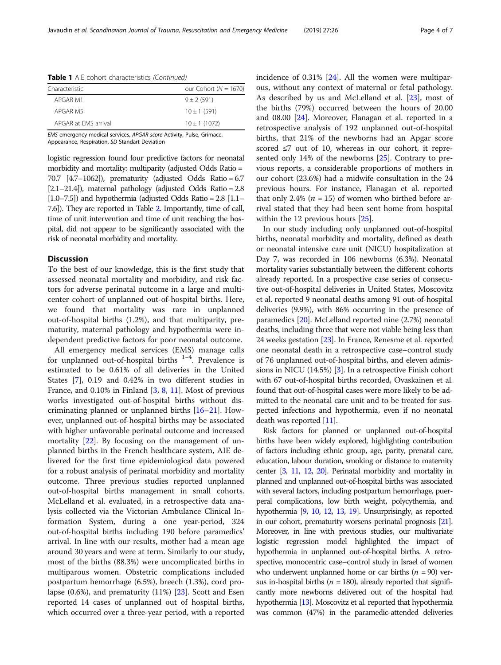Table 1 AIE cohort characteristics (Continued)

| Characteristic       | our Cohort ( $N = 1670$ ) |
|----------------------|---------------------------|
| APGAR M1             | $9 \pm 2 (591)$           |
| APGAR M5             | $10 \pm 1$ (591)          |
| APGAR at FMS arrival | $10 \pm 1$ (1072)         |

EMS emergency medical services, APGAR score Activity, Pulse, Grimace, Appearance, Respiration, SD Standart Deviation

logistic regression found four predictive factors for neonatal morbidity and mortality: multiparity (adjusted Odds Ratio = 70.7 [4.7–1062]), prematurity (adjusted Odds Ratio = 6.7  $[2.1–21.4]$ , maternal pathology (adjusted Odds Ratio = 2.8)  $[1.0–7.5]$ ) and hypothermia (adjusted Odds Ratio = 2.8  $[1.1–1]$ 7.6]). They are reported in Table [2.](#page-4-0) Importantly, time of call, time of unit intervention and time of unit reaching the hospital, did not appear to be significantly associated with the risk of neonatal morbidity and mortality.

# **Discussion**

To the best of our knowledge, this is the first study that assessed neonatal mortality and morbidity, and risk factors for adverse perinatal outcome in a large and multicenter cohort of unplanned out-of-hospital births. Here, we found that mortality was rare in unplanned out-of-hospital births (1.2%), and that multiparity, prematurity, maternal pathology and hypothermia were independent predictive factors for poor neonatal outcome.

All emergency medical services (EMS) manage calls for unplanned out-of-hospital births  $1-4$ . Prevalence is estimated to be 0.61% of all deliveries in the United States [[7\]](#page-5-0), 0.19 and 0.42% in two different studies in France, and 0.10% in Finland [\[3](#page-5-0), [8](#page-5-0), [11](#page-5-0)]. Most of previous works investigated out-of-hospital births without discriminating planned or unplanned births [[16](#page-5-0)–[21\]](#page-6-0). However, unplanned out-of-hospital births may be associated with higher unfavorable perinatal outcome and increased mortality [[22](#page-6-0)]. By focusing on the management of unplanned births in the French healthcare system, AIE delivered for the first time epidemiological data powered for a robust analysis of perinatal morbidity and mortality outcome. Three previous studies reported unplanned out-of-hospital births management in small cohorts. McLelland et al. evaluated, in a retrospective data analysis collected via the Victorian Ambulance Clinical Information System, during a one year-period, 324 out-of-hospital births including 190 before paramedics' arrival. In line with our results, mother had a mean age around 30 years and were at term. Similarly to our study, most of the births (88.3%) were uncomplicated births in multiparous women. Obstetric complications included postpartum hemorrhage (6.5%), breech (1.3%), cord prolapse (0.6%), and prematurity (11%) [\[23](#page-6-0)]. Scott and Esen reported 14 cases of unplanned out of hospital births, which occurred over a three-year period, with a reported incidence of 0.31% [[24](#page-6-0)]. All the women were multiparous, without any context of maternal or fetal pathology. As described by us and McLelland et al. [\[23](#page-6-0)], most of the births (79%) occurred between the hours of 20.00 and 08.00 [[24\]](#page-6-0). Moreover, Flanagan et al. reported in a retrospective analysis of 192 unplanned out-of-hospital births, that 21% of the newborns had an Apgar score scored ≤7 out of 10, whereas in our cohort, it represented only 14% of the newborns [[25\]](#page-6-0). Contrary to previous reports, a considerable proportions of mothers in our cohort (23.6%) had a midwife consultation in the 24 previous hours. For instance, Flanagan et al. reported that only 2.4% ( $n = 15$ ) of women who birthed before arrival stated that they had been sent home from hospital within the 12 previous hours [\[25\]](#page-6-0).

In our study including only unplanned out-of-hospital births, neonatal morbidity and mortality, defined as death or neonatal intensive care unit (NICU) hospitalization at Day 7, was recorded in 106 newborns (6.3%). Neonatal mortality varies substantially between the different cohorts already reported. In a prospective case series of consecutive out-of-hospital deliveries in United States, Moscovitz et al. reported 9 neonatal deaths among 91 out-of-hospital deliveries (9.9%), with 86% occurring in the presence of paramedics [\[20\]](#page-6-0). McLelland reported nine (2.7%) neonatal deaths, including three that were not viable being less than 24 weeks gestation [\[23](#page-6-0)]. In France, Renesme et al. reported one neonatal death in a retrospective case–control study of 76 unplanned out-of-hospital births, and eleven admissions in NICU (14.5%) [\[3](#page-5-0)]. In a retrospective Finish cohort with 67 out-of-hospital births recorded, Ovaskainen et al. found that out-of-hospital cases were more likely to be admitted to the neonatal care unit and to be treated for suspected infections and hypothermia, even if no neonatal death was reported [[11](#page-5-0)].

Risk factors for planned or unplanned out-of-hospital births have been widely explored, highlighting contribution of factors including ethnic group, age, parity, prenatal care, education, labour duration, smoking or distance to maternity center [\[3](#page-5-0), [11](#page-5-0), [12,](#page-5-0) [20\]](#page-6-0). Perinatal morbidity and mortality in planned and unplanned out-of-hospital births was associated with several factors, including postpartum hemorrhage, puerperal complications, low birth weight, polycythemia, and hypothermia [\[9](#page-5-0), [10](#page-5-0), [12](#page-5-0), [13](#page-5-0), [19](#page-6-0)]. Unsurprisingly, as reported in our cohort, prematurity worsens perinatal prognosis [\[21\]](#page-6-0). Moreover, in line with previous studies, our multivariate logistic regression model highlighted the impact of hypothermia in unplanned out-of-hospital births. A retrospective, monocentric case–control study in Israel of women who underwent unplanned home or car births ( $n = 90$ ) versus in-hospital births ( $n = 180$ ), already reported that significantly more newborns delivered out of the hospital had hypothermia [[13\]](#page-5-0). Moscovitz et al. reported that hypothermia was common (47%) in the paramedic-attended deliveries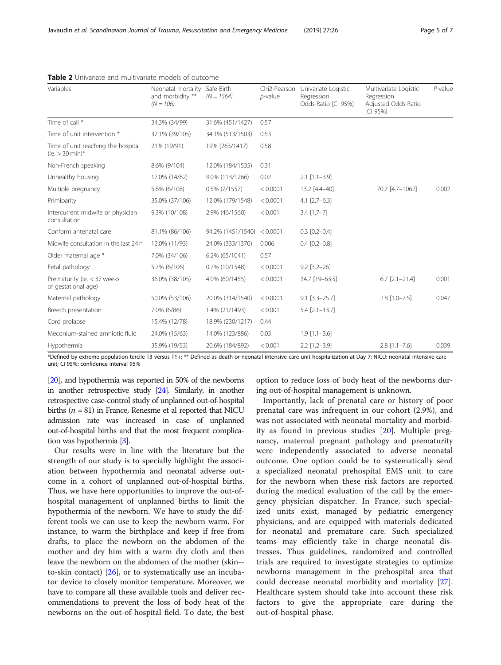| Variables                                               | Neonatal mortality<br>and morbidity **<br>$(N = 106)$ | Safe Birth<br>$(N = 1564)$ | Chi2-Pearson<br>$p$ -value | Univariate Logistic<br>Regression<br>Odds-Ratio [CI 95%] | Multivariate Logistic<br>Regression<br>Adjusted Odds-Ratio<br>[CI 95%] | $P$ -value |
|---------------------------------------------------------|-------------------------------------------------------|----------------------------|----------------------------|----------------------------------------------------------|------------------------------------------------------------------------|------------|
| Time of call *                                          | 34.3% (34/99)                                         | 31.6% (451/1427)           | 0.57                       |                                                          |                                                                        |            |
| Time of unit intervention *                             | 37.1% (39/105)                                        | 34.1% (513/1503)           | 0.53                       |                                                          |                                                                        |            |
| Time of unit reaching the hospital<br>(ie. $> 30$ min)* | 21% (19/91)                                           | 19% (263/1417)             | 0.58                       |                                                          |                                                                        |            |
| Non-French speaking                                     | 8.6% (9/104)                                          | 12.0% (184/1535)           | 0.31                       |                                                          |                                                                        |            |
| Unhealthy housing                                       | 17.0% (14/82)                                         | 9.0% (113/1266)            | 0.02                       | $2.1$ [1.1-3.9]                                          |                                                                        |            |
| Multiple pregnancy                                      | 5.6% (6/108)                                          | $0.5\%$ (7/1557)           | < 0.0001                   | 13.2 [4.4-40]                                            | 70.7 [4.7-1062]                                                        | 0.002      |
| Primiparity                                             | 35.0% (37/106)                                        | 12.0% (179/1548)           | < 0.0001                   | $4.1$ [2.7-6.3]                                          |                                                                        |            |
| Intercurrent midwife or physician<br>consultation       | 9.3% (10/108)                                         | 2.9% (46/1560)             | < 0.001                    | $3.4$ [1.7-7]                                            |                                                                        |            |
| Conform antenatal care                                  | 81.1% (86/106)                                        | 94.2% (1451/1540)          | < 0.0001                   | $0.3$ $[0.2 - 0.4]$                                      |                                                                        |            |
| Midwife consultation in the last 24 h                   | 12.0% (11/93)                                         | 24.0% (333/1370)           | 0.006                      | $0.4$ $[0.2 - 0.8]$                                      |                                                                        |            |
| Older maternal age *                                    | 7.0% (34/106)                                         | 6.2% (65/1041)             | 0.57                       |                                                          |                                                                        |            |
| Fetal pathology                                         | 5.7% (6/106)                                          | 0.7% (10/1548)             | < 0.0001                   | $9.2$ [3.2-26]                                           |                                                                        |            |
| Prematurity (ie. < 37 weeks<br>of gestational age)      | 36.0% (38/105)                                        | 4.0% (60/1455)             | < 0.0001                   | 34.7 [19-63.5]                                           | $6.7$ [2.1-21.4]                                                       | 0.001      |
| Maternal pathology                                      | 50.0% (53/106)                                        | 20.0% (314/1540)           | < 0.0001                   | $9.1$ [3.3-25.7]                                         | $2.8$ [1.0-7.5]                                                        | 0.047      |
| Breech presentation                                     | 7.0% (6/86)                                           | 1.4% (21/1493)             | < 0.001                    | $5.4$ [ $2.1 - 13.7$ ]                                   |                                                                        |            |
| Cord prolapse                                           | 15.4% (12/78)                                         | 18.9% (230/1217)           | 0.44                       |                                                          |                                                                        |            |
| Meconium-stained amniotic fluid                         | 24.0% (15/63)                                         | 14.0% (123/886)            | 0.03                       | $1.9$ [1.1-3.6]                                          |                                                                        |            |
| Hypothermia                                             | 35.9% (19/53)                                         | 20.6% (184/892)            | < 0.001                    | $2.2$ [1.2-3.9]                                          | $2.8$ [1.1-7.6]                                                        | 0.039      |

<span id="page-4-0"></span>

| <b>Table 2</b> Univariate and multivariate models of outcome |  |
|--------------------------------------------------------------|--|
|--------------------------------------------------------------|--|

\*Defined by extreme population tercile T3 versus T1+; \*\* Defined as death or neonatal intensive care unit hospitalization at Day 7; NICU: neonatal intensive care unit; CI 95%: confidence interval 95%

[[20\]](#page-6-0), and hypothermia was reported in 50% of the newborns in another retrospective study [\[24\]](#page-6-0). Similarly, in another retrospective case-control study of unplanned out-of-hospital births ( $n = 81$ ) in France, Renesme et al reported that NICU admission rate was increased in case of unplanned out-of-hospital births and that the most frequent complication was hypothermia [\[3\]](#page-5-0).

Our results were in line with the literature but the strength of our study is to specially highlight the association between hypothermia and neonatal adverse outcome in a cohort of unplanned out-of-hospital births. Thus, we have here opportunities to improve the out-ofhospital management of unplanned births to limit the hypothermia of the newborn. We have to study the different tools we can use to keep the newborn warm. For instance, to warm the birthplace and keep if free from drafts, to place the newborn on the abdomen of the mother and dry him with a warm dry cloth and then leave the newborn on the abdomen of the mother (skin- to-skin contact) [\[26](#page-6-0)], or to systematically use an incubator device to closely monitor temperature. Moreover, we have to compare all these available tools and deliver recommendations to prevent the loss of body heat of the newborns on the out-of-hospital field. To date, the best

option to reduce loss of body heat of the newborns during out-of-hospital management is unknown.

Importantly, lack of prenatal care or history of poor prenatal care was infrequent in our cohort (2.9%), and was not associated with neonatal mortality and morbidity as found in previous studies [[20](#page-6-0)]. Multiple pregnancy, maternal pregnant pathology and prematurity were independently associated to adverse neonatal outcome. One option could be to systematically send a specialized neonatal prehospital EMS unit to care for the newborn when these risk factors are reported during the medical evaluation of the call by the emergency physician dispatcher. In France, such specialized units exist, managed by pediatric emergency physicians, and are equipped with materials dedicated for neonatal and premature care. Such specialized teams may efficiently take in charge neonatal distresses. Thus guidelines, randomized and controlled trials are required to investigate strategies to optimize newborns management in the prehospital area that could decrease neonatal morbidity and mortality [\[27](#page-6-0)]. Healthcare system should take into account these risk factors to give the appropriate care during the out-of-hospital phase.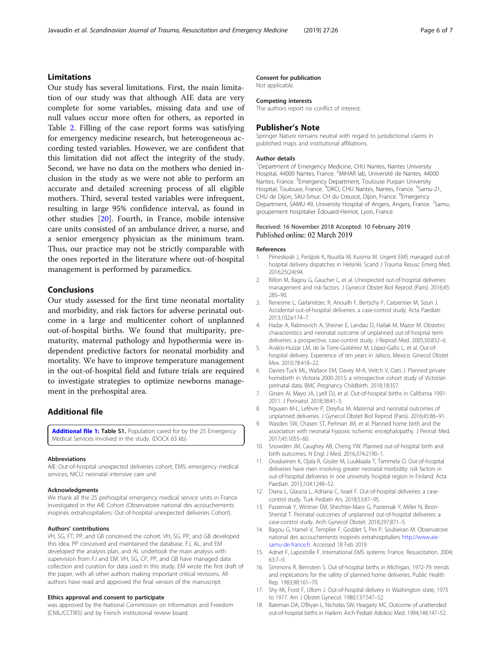# <span id="page-5-0"></span>Javaudin et al. Scandinavian Journal of Trauma, Resuscitation and Emergency Medicine (2019) 27:26 Page 6 of 7

# Limitations

Our study has several limitations. First, the main limitation of our study was that although AIE data are very complete for some variables, missing data and use of null values occur more often for others, as reported in Table [2](#page-4-0). Filling of the case report forms was satisfying for emergency medicine research, but heterogeneous according tested variables. However, we are confident that this limitation did not affect the integrity of the study. Second, we have no data on the mothers who denied inclusion in the study as we were not able to perform an accurate and detailed screening process of all eligible mothers. Third, several tested variables were infrequent, resulting in large 95% confidence interval, as found in other studies [[20](#page-6-0)]. Fourth, in France, mobile intensive care units consisted of an ambulance driver, a nurse, and a senior emergency physician as the minimum team. Thus, our practice may not be strictly comparable with the ones reported in the literature where out-of-hospital management is performed by paramedics.

# Conclusions

Our study assessed for the first time neonatal mortality and morbidity, and risk factors for adverse perinatal outcome in a large and multicenter cohort of unplanned out-of-hospital births. We found that multiparity, prematurity, maternal pathology and hypothermia were independent predictive factors for neonatal morbidity and mortality. We have to improve temperature management in the out-of-hospital field and future trials are required to investigate strategies to optimize newborns management in the prehospital area.

# Additional file

[Additional file 1:](https://doi.org/10.1186/s13049-019-0600-z) Table S1. Population cared for by the 25 Emergency Medical Services involved in the study. (DOCX 63 kb)

#### Abbreviations

AIE: Out-of-hospital unexpected deliveries cohort; EMS: emergency medical services; NICU: neonatal intensive care unit

#### **Acknowledaments**

We thank all the 25 prehospital emergency medical service units in France investigated in the AIE Cohort (Observatoire national des accouchements inopinés extrahospitaliers: Out-of-hospital unexpected deliveries Cohort).

#### Authors' contributions

VH, SG, FT, PP, and GB conceived the cohort. VH, SG, PP, and GB developed this idea. PP conceived and maintained the database. FJ, AL, and EM developed the analysis plan, and AL undertook the main analysis with supervision from FJ and EM. VH, SG, CP, PP, and GB have managed data collection and curation for data used in this study. EM wrote the first draft of the paper, with all other authors making important critical revisions. All authors have read and approved the final version of the manuscript.

### Ethics approval and consent to participate

was approved by the National Commission on Information and Freedom (CNIL/CCTIRS) and by French institutional review board.

# Consent for publication

Not applicable.

#### Competing interests

The authors report no conflict of interest.

#### Publisher's Note

Springer Nature remains neutral with regard to jurisdictional claims in published maps and institutional affiliations.

#### Author details

<sup>1</sup> Department of Emergency Medicine, CHU Nantes, Nantes University Hospital, 44000 Nantes, France. <sup>2</sup>MiHAR lab, Université de Nantes, 44000 Nantes, France. <sup>3</sup> Emergency Department, Toulouse Purpan University Hospital, Toulouse, France. <sup>4</sup>DRCI, CHU Nantes, Nantes, France. <sup>5</sup>Samu-21, CHU de Dijon, SAU-Smur, CH du Creusot, Dijon, France. <sup>6</sup>Emergency Department, SAMU 49, University Hospital of Angers, Angers, France. <sup>7</sup>Samu, groupement hospitalier Édouard-Herriot, Lyon, France.

# Received: 16 November 2018 Accepted: 10 February 2019 Published online: 02 March 2019

#### References

- 1. Pirneskoski J, Peräjoki K, Nuutila M, Kuisma M. Urgent EMS managed out-ofhospital delivery dispatches in Helsinki. Scand J Trauma Resusc Emerg Med. 2016;25(24):94.
- 2. Billon M, Bagou G, Gaucher L, et al. Unexpected out-of-hospital deliveries: management and risk factors. J Gynecol Obstet Biol Reprod (Paris). 2016;45: 285–90.
- 3. Renesme L, Garlantézec R, Anouilh F, Bertschy F, Carpentier M, Sizun J. Accidental out-of-hospital deliveries: a case-control study. Acta Paediatr. 2013;102:e174–7.
- 4. Hadar A, Rabinovich A, Sheiner E, Landau D, Hallak M, Mazor M. Obstetric characteristics and neonatal outcome of unplanned out-of-hospital term deliveries: a prospective, case-control study. J Reprod Med. 2005;50:832–6.
- 5. Avalos-Huízar LM, de la Torre-Gutiérrez M, López-Gallo L, et al. Out-ofhospital delivery. Experience of ten years in Jalisco, Mexico. Ginecol Obstet Mex. 2010;78:418–22.
- 6. Davies-Tuck ML, Wallace EM, Davey M-A, Veitch V, Oats J. Planned private homebirth in Victoria 2000-2015: a retrospective cohort study of Victorian perinatal data. BMC Pregnancy Childbirth. 2018;18:357.
- 7. Girsen AI, Mayo JA, Lyell DJ, et al. Out-of-hospital births in California 1991- 2011. J Perinatol. 2018;38:41–5.
- 8. Nguyen M-L, Lefèvre P, Dreyfus M. Maternal and neonatal outcomes of unplanned deliveries. J Gynecol Obstet Biol Reprod (Paris). 2016;45:86–91.
- 9. Wasden SW, Chasen ST, Perlman JM, et al. Planned home birth and the association with neonatal hypoxic ischemic encephalopathy. J Perinat Med. 2017;45:1055–60.
- 10. Snowden JM, Caughey AB, Cheng YW. Planned out-of-hospital birth and birth outcomes. N Engl J Med. 2016;374:2190–1.
- 11. Ovaskainen K, Ojala R, Gissler M, Luukkaala T, Tammela O. Out-of-hospital deliveries have risen involving greater neonatal morbidity: risk factors in out-of-hospital deliveries in one university hospital region in Finland. Acta Paediatr. 2015;104:1248–52.
- 12. Diana L, Glaucia L, Adriana C, Israel F. Out-of-hospital deliveries: a casecontrol study. Turk Pediatri Ars. 2018;53:87–95.
- 13. Pasternak Y, Wintner EM, Shechter-Maor G, Pasternak Y, Miller N, Biron-Shental T. Perinatal outcomes of unplanned out-of-hospital deliveries: a case-control study. Arch Gynecol Obstet. 2018;297:871–5.
- 14. Bagou G, Hamel V, Templier F, Goddet S, Pes P, Soubeiran M. Observatoire national des accouchements inopinés extrahospitaliers [http://www.aie](http://www.aie-samu-de-france.fr)[samu-de-france.fr.](http://www.aie-samu-de-france.fr) Accessed 18 Feb 2019.
- 15. Adnet F, Lapostolle F. International EMS systems: France. Resuscitation. 2004; 63:7–9.
- 16. Simmons R, Bernstein S. Out-of-hospital births in Michigan, 1972-79: trends and implications for the safety of planned home deliveries. Public Health Rep. 1983;98:161–70.
- 17. Shy KK, Frost F, Ullom J. Out-of-hospital delivery in Washington state, 1975 to 1977. Am J Obstet Gynecol. 1980;137:547–52.
- 18. Bateman DA, O'Bryan L, Nicholas SW, Heagarty MC. Outcome of unattended out-of-hospital births in Harlem. Arch Pediatr Adolesc Med. 1994;148:147–52.